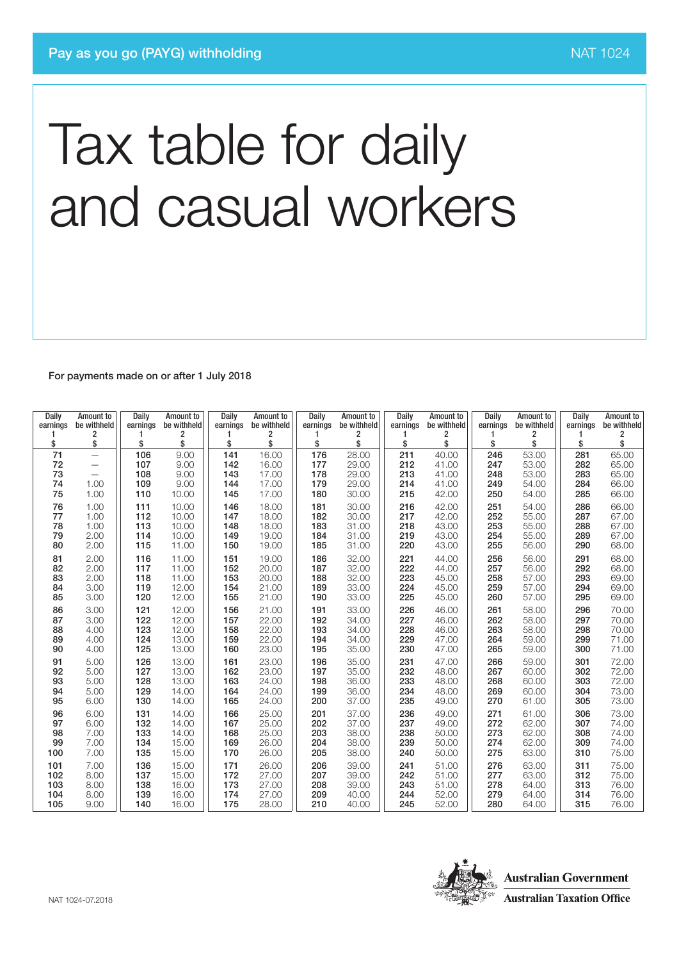For payments made on or after 1 July 2018

| Daily<br>earnings<br>1 | Amount to<br>be withheld<br>2                 | Daily<br>earnings | Amount to<br>be withheld<br>2 | Daily<br>earnings<br>1 | Amount to<br>be withheld<br>2 | Daily<br>earnings | Amount to<br>be withheld<br>2 | Daily<br>earnings<br>1 | Amount to<br>be withheld<br>2 | Daily<br>earnings<br>1 | Amount to<br>be withheld<br>2 | <b>Daily</b><br>earnings | Amount to<br>be withheld<br>2 |
|------------------------|-----------------------------------------------|-------------------|-------------------------------|------------------------|-------------------------------|-------------------|-------------------------------|------------------------|-------------------------------|------------------------|-------------------------------|--------------------------|-------------------------------|
| \$                     | \$                                            | \$                | \$                            | \$                     | \$                            | \$                | \$                            | \$                     | \$                            | \$                     | \$                            | \$                       | \$                            |
| 71                     | $\overline{\phantom{0}}$                      | 106               | 9.00                          | 141                    | 16.00                         | 176               | 28.00                         | 211                    | 40.00                         | 246                    | 53.00                         | 281                      | 65.00                         |
| 72<br>73               | $\qquad \qquad -$<br>$\overline{\phantom{0}}$ | 107<br>108        | 9.00<br>9.00                  | 142<br>143             | 16.00<br>17.00                | 177<br>178        | 29.00<br>29.00                | 212<br>213             | 41.00<br>41.00                | 247<br>248             | 53.00<br>53.00                | 282<br>283               | 65.00<br>65.00                |
| 74                     | 1.00                                          | 109               | 9.00                          | 144                    | 17.00                         | 179               | 29.00                         | 214                    | 41.00                         | 249                    | 54.00                         | 284                      | 66.00                         |
| 75                     | 1.00                                          | 110               | 10.00                         | 145                    | 17.00                         | 180               | 30.00                         | 215                    | 42.00                         | 250                    | 54.00                         | 285                      | 66.00                         |
| 76                     | 1.00                                          | 111               | 10.00                         | 146                    | 18.00                         | 181               | 30.00                         | 216                    | 42.00                         | 251                    | 54.00                         | 286                      | 66.00                         |
| 77                     | 1.00                                          | 112               | 10.00                         | 147                    | 18.00                         | 182               | 30.00                         | 217                    | 42.00                         | 252                    | 55.00                         | 287                      | 67.00                         |
| 78<br>79               | 1.00<br>2.00                                  | 113<br>114        | 10.00<br>10.00                | 148<br>149             | 18.00<br>19.00                | 183<br>184        | 31.00<br>31.00                | 218<br>219             | 43.00<br>43.00                | 253<br>254             | 55.00<br>55.00                | 288<br>289               | 67.00<br>67.00                |
| 80                     | 2.00                                          | 115               | 11.00                         | 150                    | 19.00                         | 185               | 31.00                         | 220                    | 43.00                         | 255                    | 56.00                         | 290                      | 68.00                         |
| 81                     | 2.00                                          | 116               | 11.00                         | 151                    | 19.00                         | 186               | 32.00                         | 221                    | 44.00                         | 256                    | 56.00                         | 291                      | 68.00                         |
| 82                     | 2.00                                          | 117               | 11.00                         | 152                    | 20.00                         | 187               | 32.00                         | 222                    | 44.00                         | 257                    | 56.00                         | 292                      | 68.00                         |
| 83<br>84               | 2.00                                          | 118               | 11.00<br>12.00                | 153                    | 20.00                         | 188<br>189        | 32.00<br>33.00                | 223                    | 45.00                         | 258                    | 57.00                         | 293<br>294               | 69.00<br>69.00                |
| 85                     | 3.00<br>3.00                                  | 119<br>120        | 12.00                         | 154<br>155             | 21.00<br>21.00                | 190               | 33.00                         | 224<br>225             | 45.00<br>45.00                | 259<br>260             | 57.00<br>57.00                | 295                      | 69.00                         |
| 86                     | 3.00                                          | 121               | 12.00                         | 156                    | 21.00                         | 191               | 33.00                         | 226                    | 46.00                         | 261                    | 58.00                         | 296                      | 70.00                         |
| 87                     | 3.00                                          | 122               | 12.00                         | 157                    | 22.00                         | 192               | 34.00                         | 227                    | 46.00                         | 262                    | 58.00                         | 297                      | 70.00                         |
| 88                     | 4.00                                          | 123               | 12.00                         | 158                    | 22.00                         | 193               | 34.00                         | 228                    | 46.00                         | 263                    | 58.00                         | 298                      | 70.00                         |
| 89<br>90               | 4.00<br>4.00                                  | 124<br>125        | 13.00<br>13.00                | 159<br>160             | 22.00<br>23.00                | 194<br>195        | 34.00<br>35.00                | 229<br>230             | 47.00<br>47.00                | 264<br>265             | 59.00<br>59.00                | 299<br>300               | 71.00<br>71.00                |
| 91                     | 5.00                                          | 126               | 13.00                         | 161                    | 23.00                         | 196               | 35.00                         | 231                    | 47.00                         | 266                    | 59.00                         | 301                      | 72.00                         |
| 92                     | 5.00                                          | 127               | 13.00                         | 162                    | 23.00                         | 197               | 35.00                         | 232                    | 48.00                         | 267                    | 60.00                         | 302                      | 72.00                         |
| 93                     | 5.00                                          | 128               | 13.00                         | 163                    | 24.00                         | 198               | 36.00                         | 233                    | 48.00                         | 268                    | 60.00                         | 303                      | 72.00                         |
| 94                     | 5.00                                          | 129               | 14.00                         | 164                    | 24.00                         | 199               | 36.00                         | 234                    | 48.00                         | 269                    | 60.00                         | 304                      | 73.00                         |
| 95                     | 6.00                                          | 130               | 14.00                         | 165                    | 24.00                         | 200               | 37.00                         | 235                    | 49.00                         | 270                    | 61.00                         | 305                      | 73.00                         |
| 96<br>97               | 6.00<br>6.00                                  | 131<br>132        | 14.00<br>14.00                | 166<br>167             | 25.00<br>25.00                | 201<br>202        | 37.00<br>37.00                | 236<br>237             | 49.00<br>49.00                | 271<br>272             | 61.00<br>62.00                | 306<br>307               | 73.00<br>74.00                |
| 98                     | 7.00                                          | 133               | 14.00                         | 168                    | 25.00                         | 203               | 38.00                         | 238                    | 50.00                         | 273                    | 62.00                         | 308                      | 74.00                         |
| 99                     | 7.00                                          | 134               | 15.00                         | 169                    | 26.00                         | 204               | 38.00                         | 239                    | 50.00                         | 274                    | 62.00                         | 309                      | 74.00                         |
| 100                    | 7.00                                          | 135               | 15.00                         | 170                    | 26.00                         | 205               | 38.00                         | 240                    | 50.00                         | 275                    | 63.00                         | 310                      | 75.00                         |
| 101                    | 7.00                                          | 136               | 15.00                         | 171                    | 26.00                         | 206               | 39.00                         | 241                    | 51.00                         | 276                    | 63.00                         | 311                      | 75.00                         |
| 102<br>103             | 8.00<br>8.00                                  | 137<br>138        | 15.00<br>16.00                | 172<br>173             | 27.00<br>27.00                | 207<br>208        | 39.00<br>39.00                | 242<br>243             | 51.00<br>51.00                | 277<br>278             | 63.00<br>64.00                | 312<br>313               | 75.00<br>76.00                |
| 104                    | 8.00                                          | 139               | 16.00                         | 174                    | 27.00                         | 209               | 40.00                         | 244                    | 52.00                         | 279                    | 64.00                         | 314                      | 76.00                         |
| 105                    | 9.00                                          | 140               | 16.00                         | 175                    | 28.00                         | 210               | 40.00                         | 245                    | 52.00                         | 280                    | 64.00                         | 315                      | 76.00                         |

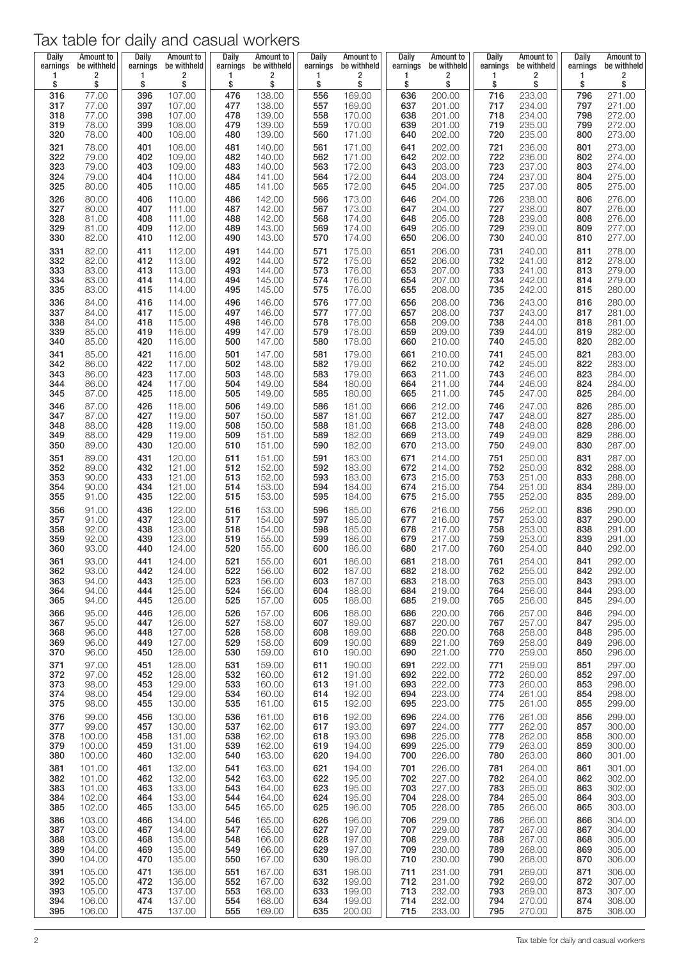| Daily      | Amount to      | Daily      | Amount to        | Daily      | Amount to        | Daily      | Amount to        | Daily        | <b>Amount to</b> | Daily      | Amount to        | Daily      | Amount to        |
|------------|----------------|------------|------------------|------------|------------------|------------|------------------|--------------|------------------|------------|------------------|------------|------------------|
| earnings   | be withheld    | earnings   | be withheld      | earnings   | be withheld      | earnings   | be withheld      | earnings     | be withheld      | earnings   | be withheld      | earnings   | be withheld      |
| 1          | 2              | 1          | 2                | 1          | 2                | 1          | 2                | $\mathbf{1}$ | 2                | 1          | 2                | 1          | 2                |
| \$         | \$             | \$         | \$               | \$         | \$               | \$         | \$               | \$           | \$               | \$         | \$               | \$         | \$               |
| 316        | 77.00          | 396        | 107.00           | 476        | 138.00           | 556        | 169.00           | 636          | 200.00           | 716        | 233.00           | 796        | 271.00           |
| 317        | 77.00          | 397        | 107.00           | 477        | 138.00           | 557        | 169.00           | 637          | 201.00           | 717        | 234.00           | 797        | 271.00           |
| 318        | 77.00          | 398        | 107.00           | 478        | 139.00           | 558        | 170.00           | 638          | 201.00           | 718        | 234.00           | 798        | 272.00           |
| 319        | 78.00          | 399        | 108.00           | 479        | 139.00           | 559        | 170.00           | 639          | 201.00           | 719        | 235.00           | 799        | 272.00           |
| 320        | 78.00          | 400        | 108.00           | 480        | 139.00           | 560        | 171.00           | 640          | 202.00           | 720        | 235.00           | 800        | 273.00           |
| 321        | 78.00          | 401        | 108.00           | 481        | 140.00           | 561        | 171.00           | 641          | 202.00           | 721        | 236.00           | 801        | 273.00           |
| 322        | 79.00          | 402        | 109.00           | 482        | 140.00           | 562        | 171.00           | 642          | 202.00           | 722        | 236.00           | 802        | 274.00           |
| 323        | 79.00          | 403        | 109.00           | 483        | 140.00           | 563        | 172.00           | 643          | 203.00           | 723        | 237.00           | 803        | 274.00           |
| 324        | 79.00          | 404        | 110.00           | 484        | 141.00           | 564        | 172.00           | 644          | 203.00           | 724        | 237.00           | 804        | 275.00           |
| 325        | 80.00          | 405        | 110.00           | 485        | 141.00           | 565        | 172.00           | 645          | 204.00           | 725        | 237.00           | 805        | 275.00           |
| 326        | 80.00          | 406        | 110.00           | 486        | 142.00           | 566        | 173.00           | 646          | 204.00           | 726        | 238.00           | 806        | 276.00           |
| 327        | 80.00          | 407        | 111.00           | 487        | 142.00           | 567        | 173.00           | 647          | 204.00           | 727        | 238.00           | 807        | 276.00           |
| 328        | 81.00          | 408        | 111.00           | 488        | 142.00           | 568        | 174.00           | 648          | 205.00           | 728        | 239.00           | 808        | 276.00           |
| 329        | 81.00          | 409        | 112.00           | 489        | 143.00           | 569        | 174.00           | 649          | 205.00           | 729        | 239.00           | 809        | 277.00           |
| 330        | 82.00          | 410        | 112.00           | 490        | 143.00           | 570        | 174.00           | 650          | 206.00           | 730        | 240.00           | 810        | 277.00           |
| 331        | 82.00          | 411        | 112.00           | 491        | 144.00           | 571        | 175.00           | 651          | 206.00           | 731        | 240.00           | 811        | 278.00           |
| 332        | 82.00          | 412        | 113.00           | 492        | 144.00           | 572        | 175.00           | 652          | 206.00           | 732        | 241.00           | 812        | 278.00           |
| 333        | 83.00          | 413        | 113.00           | 493        | 144.00           | 573        | 176.00           | 653          | 207.00           | 733        | 241.00           | 813        | 279.00           |
| 334        | 83.00          | 414        | 114.00           | 494        | 145.00           | 574        | 176.00           | 654          | 207.00           | 734        | 242.00           | 814        | 279.00           |
| 335        | 83.00          | 415        | 114.00           | 495        | 145.00           | 575        | 176.00           | 655          | 208.00           | 735        | 242.00           | 815        | 280.00           |
| 336        | 84.00          | 416        | 114.00           | 496        | 146.00           | 576        | 177.00           | 656          | 208.00           | 736        | 243.00           | 816        | 280.00           |
| 337        | 84.00          | 417        | 115.00           | 497        | 146.00           | 577        | 177.00           | 657          | 208.00           | 737        | 243.00           | 817        | 281.00           |
| 338        | 84.00          | 418        | 115.00           | 498        | 146.00           | 578        | 178.00           | 658          | 209.00           | 738        | 244.00           | 818        | 281.00           |
| 339        | 85.00          | 419        | 116.00           | 499        | 147.00           | 579        | 178.00           | 659          | 209.00           | 739        | 244.00           | 819        | 282.00           |
| 340        | 85.00          | 420        | 116.00           | 500        | 147.00           | 580        | 178.00           | 660          | 210.00           | 740        | 245.00           | 820        | 282.00           |
| 341        | 85.00          | 421        | 116.00           | 501        | 147.00           | 581        | 179.00           | 661          | 210.00           | 741        | 245.00           | 821        | 283.00           |
| 342        | 86.00          | 422        | 117.00           | 502        | 148.00           | 582        | 179.00           | 662          | 210.00           | 742        | 245.00           | 822        | 283.00           |
| 343        | 86.00          | 423        | 117.00           | 503        | 148.00           | 583        | 179.00           | 663          | 211.00           | 743        | 246.00           | 823        | 284.00           |
| 344        | 86.00          | 424        | 117.00           | 504        | 149.00           | 584        | 180.00           | 664          | 211.00           | 744        | 246.00           | 824        | 284.00           |
| 345        | 87.00          | 425        | 118.00           | 505        | 149.00           | 585        | 180.00           | 665          | 211.00           | 745        | 247.00           | 825        | 284.00           |
| 346        | 87.00          | 426        | 118.00           | 506        | 149.00           | 586        | 181.00           | 666          | 212.00           | 746        | 247.00           | 826        | 285.00           |
| 347        | 87.00          | 427        | 119.00           | 507        | 150.00           | 587        | 181.00           | 667          | 212.00           | 747        | 248.00           | 827        | 285.00           |
| 348        | 88.00          | 428        | 119.00           | 508        | 150.00           | 588        | 181.00           | 668          | 213.00           | 748        | 248.00           | 828        | 286.00           |
| 349        | 88.00          | 429        | 119.00           | 509        | 151.00           | 589        | 182.00           | 669          | 213.00           | 749        | 249.00           | 829        | 286.00           |
| 350        | 89.00          | 430        | 120.00           | 510        | 151.00           | 590        | 182.00           | 670          | 213.00           | 750        | 249.00           | 830        | 287.00           |
| 351        | 89.00          | 431        | 120.00           | 511        | 151.00           | 591        | 183.00           | 671          | 214.00           | 751        | 250.00           | 831        | 287.00           |
| 352        | 89.00          | 432        | 121.00           | 512        | 152.00           | 592        | 183.00           | 672          | 214.00           | 752        | 250.00           | 832        | 288.00           |
| 353        | 90.00          | 433        | 121.00           | 513        | 152.00           | 593        | 183.00           | 673          | 215.00           | 753        | 251.00           | 833        | 288.00           |
| 354        | 90.00          | 434        | 121.00           | 514        | 153.00           | 594        | 184.00           | 674          | 215.00           | 754        | 251.00           | 834        | 289.00           |
| 355        | 91.00          | 435        | 122.00           | 515        | 153.00           | 595        | 184.00           | 675          | 215.00           | 755        | 252.00           | 835        | 289.00           |
| 356        | 91.00          | 436        | 122.00           | 516        | 153.00           | 596        | 185.00           | 676          | 216.00           | 756        | 252.00           | 836        | 290.00           |
| 357        | 91.00          | 437        | 123.00           | 517        | 154.00           | 597        | 185.00           | 677          | 216.00           | 757        | 253.00           | 837        | 290.00           |
| 358        | 92.00          | 438        | 123.00           | 518        | 154.00           | 598        | 185.00           | 678          | 217.00           | 758        | 253.00           | 838        | 291.00           |
| 359        | 92.00          | 439        | 123.00           | 519        | 155.00           | 599        | 186.00           | 679          | 217.00           | 759        | 253.00           | 839        | 291.00           |
| 360        | 93.00          | 440        | 124.00           | 520        | 155.00           | 600        | 186.00           | 680          | 217.00           | 760        | 254.00           | 840        | 292.00           |
| 361        | 93.00          | 441        | 124.00           | 521        | 155.00           | 601        | 186.00           | 681          | 218.00           | 761        | 254.00           | 841        | 292.00           |
| 362        | 93.00<br>94.00 | 442<br>443 | 124.00           | 522        | 156.00           | 602        | 187.00<br>187.00 | 682          | 218.00<br>218.00 | 762        | 255.00           | 842<br>843 | 292.00<br>293.00 |
| 363<br>364 | 94.00          | 444        | 125.00<br>125.00 | 523<br>524 | 156.00<br>156.00 | 603<br>604 | 188.00           | 683<br>684   | 219.00           | 763<br>764 | 255.00<br>256.00 | 844        | 293.00           |
| 365        | 94.00          | 445        | 126.00           | 525        | 157.00           | 605        | 188.00           | 685          | 219.00           | 765        | 256.00           | 845        | 294.00           |
| 366        | 95.00          | 446        | 126.00           | 526        | 157.00           | 606        | 188.00           | 686          | 220.00           | 766        | 257.00           | 846        | 294.00           |
| 367        | 95.00          | 447        | 126.00           | 527        | 158.00           | 607        | 189.00           | 687          | 220.00           | 767        | 257.00           | 847        | 295.00           |
| 368        | 96.00          | 448        | 127.00           | 528        | 158.00           | 608        | 189.00           | 688          | 220.00           | 768        | 258.00           | 848        | 295.00           |
| 369        | 96.00          | 449        | 127.00           | 529        | 158.00           | 609        | 190.00           | 689          | 221.00           | 769        | 258.00           | 849        | 296.00           |
| 370        | 96.00          | 450        | 128.00           | 530        | 159.00           | 610        | 190.00           | 690          | 221.00           | 770        | 259.00           | 850        | 296.00           |
| 371        | 97.00          | 451        | 128.00           | 531        | 159.00           | 611        | 190.00           | 691          | 222.00           | 771        | 259.00           | 851        | 297.00           |
| 372        | 97.00          | 452        | 128.00           | 532        | 160.00           | 612        | 191.00           | 692          | 222.00           | 772        | 260.00           | 852        | 297.00           |
| 373        | 98.00          | 453        | 129.00           | 533        | 160.00           | 613        | 191.00           | 693          | 222.00           | 773        | 260.00           | 853        | 298.00           |
| 374        | 98.00          | 454        | 129.00           | 534        | 160.00           | 614        | 192.00           | 694          | 223.00           | 774        | 261.00           | 854        | 298.00           |
| 375        | 98.00          | 455        | 130.00           | 535        | 161.00           | 615        | 192.00           | 695          | 223.00           | 775        | 261.00           | 855        | 299.00           |
| 376        | 99.00          | 456        | 130.00           | 536        | 161.00           | 616        | 192.00           | 696          | 224.00           | 776        | 261.00           | 856        | 299.00           |
| 377        | 99.00          | 457        | 130.00           | 537        | 162.00           | 617        | 193.00           | 697          | 224.00           | 777        | 262.00           | 857        | 300.00           |
| 378        | 100.00         | 458        | 131.00           | 538        | 162.00           | 618        | 193.00           | 698          | 225.00           | 778        | 262.00           | 858        | 300.00           |
| 379        | 100.00         | 459        | 131.00           | 539        | 162.00           | 619        | 194.00           | 699          | 225.00           | 779        | 263.00           | 859        | 300.00           |
| 380        | 100.00         | 460        | 132.00           | 540        | 163.00           | 620        | 194.00           | 700          | 226.00           | 780        | 263.00           | 860        | 301.00           |
| 381        | 101.00         | 461        | 132.00           | 541        | 163.00           | 621        | 194.00           | 701          | 226.00           | 781        | 264.00           | 861        | 301.00           |
| 382        | 101.00         | 462        | 132.00           | 542        | 163.00           | 622        | 195.00           | 702          | 227.00           | 782        | 264.00           | 862        | 302.00           |
| 383        | 101.00         | 463        | 133.00           | 543        | 164.00           | 623        | 195.00           | 703          | 227.00           | 783        | 265.00           | 863        | 302.00           |
| 384        | 102.00         | 464        | 133.00           | 544        | 164.00           | 624        | 195.00           | 704          | 228.00           | 784        | 265.00           | 864        | 303.00           |
| 385        | 102.00         | 465        | 133.00           | 545        | 165.00           | 625        | 196.00           | 705          | 228.00           | 785        | 266.00           | 865        | 303.00           |
| 386        | 103.00         | 466        | 134.00           | 546        | 165.00           | 626        | 196.00           | 706          | 229.00           | 786        | 266.00           | 866        | 304.00           |
| 387        | 103.00         | 467        | 134.00           | 547        | 165.00           | 627        | 197.00           | 707          | 229.00           | 787        | 267.00           | 867        | 304.00           |
| 388        | 103.00         | 468        | 135.00           | 548        | 166.00           | 628        | 197.00           | 708          | 229.00           | 788        | 267.00           | 868        | 305.00           |
| 389        | 104.00         | 469        | 135.00           | 549        | 166.00           | 629        | 197.00           | 709          | 230.00           | 789        | 268.00           | 869        | 305.00           |
| 390        | 104.00         | 470        | 135.00           | 550        | 167.00           | 630        | 198.00           | 710          | 230.00           | 790        | 268.00           | 870        | 306.00           |
| 391        | 105.00         | 471        | 136.00           | 551        | 167.00           | 631        | 198.00           | 711          | 231.00           | 791        | 269.00           | 871        | 306.00           |
| 392        | 105.00         | 472        | 136.00           | 552        | 167.00           | 632        | 199.00           | 712          | 231.00           | 792        | 269.00           | 872        | 307.00           |
| 393        | 105.00         | 473        | 137.00           | 553        | 168.00           | 633        | 199.00           | 713          | 232.00           | 793        | 269.00           | 873        | 307.00           |
| 394        | 106.00         | 474        | 137.00           | 554        | 168.00           | 634        | 199.00           | 714          | 232.00           | 794        | 270.00           | 874        | 308.00           |
| 395        | 106.00         | 475        | 137.00           | 555        | 169.00           | 635        | 200.00           | 715          | 233.00           | 795        | 270.00           | 875        | 308.00           |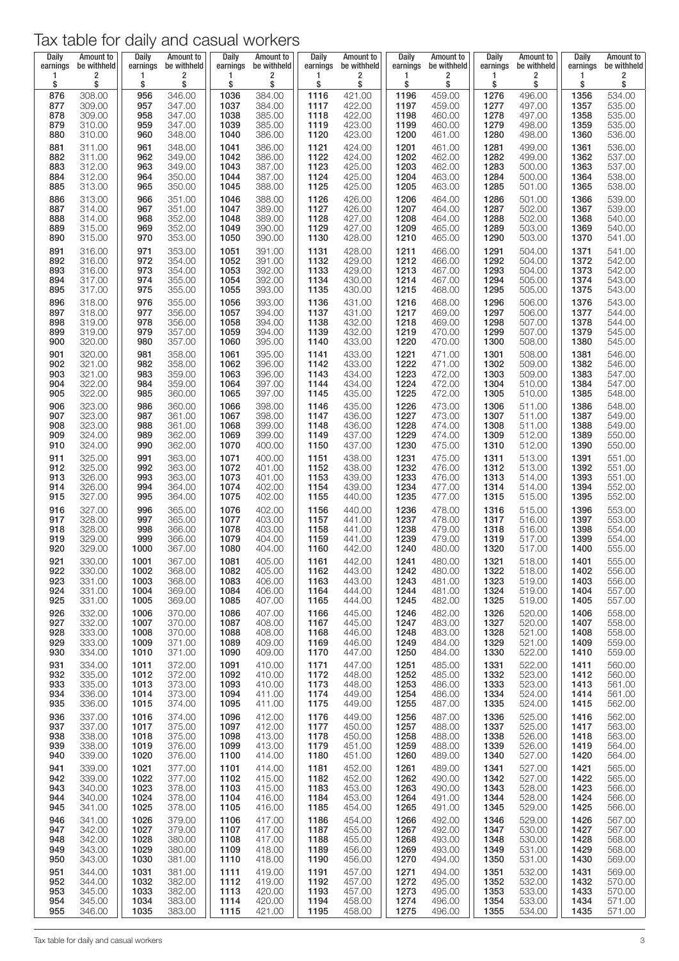| Daily    | Amount to   | Daily    | Amount to   | Daily    | Amount to   | Daily    | Amount to   | Daily    | <b>Amount to</b> | Daily    | <b>Amount to</b> | Daily    | <b>Amount to</b> |
|----------|-------------|----------|-------------|----------|-------------|----------|-------------|----------|------------------|----------|------------------|----------|------------------|
| earnings | be withheld | earnings | be withheld | earnings | be withheld | earnings | be withheld | earnings | be withheld      | earnings | be withheld      | earnings | be withheld      |
| 1        | 2           | 1        | 2           | 1        | 2           | 1        | 2           | 1        | 2                | 1        | 2                | 1        | 2                |
| \$       | \$          | \$       | \$          | \$       | \$          | \$       | \$          | \$       | \$               | \$       | \$               | \$       | \$               |
| 876      | 308.00      | 956      | 346.00      | 1036     | 384.00      | 1116     | 421.00      | 1196     | 459.00           | 1276     | 496.00           | 1356     | 534.00           |
| 877      | 309.00      | 957      | 347.00      | 1037     | 384.00      | 1117     | 422.00      | 1197     | 459.00           | 1277     | 497.00           | 1357     | 535.00           |
| 878      | 309.00      | 958      | 347.00      | 1038     | 385.00      | 1118     | 422.00      | 1198     | 460.00           | 1278     | 497.00           | 1358     | 535.00           |
| 879      | 310.00      | 959      | 347.00      | 1039     | 385.00      | 1119     | 423.00      | 1199     | 460.00           | 1279     | 498.00           | 1359     | 535.00           |
| 880      | 310.00      | 960      | 348.00      | 1040     | 386.00      | 1120     | 423.00      | 1200     | 461.00           | 1280     | 498.00           | 1360     | 536.00           |
| 881      | 311.00      | 961      | 348.00      | 1041     | 386.00      | 1121     | 424.00      | 1201     | 461.00           | 1281     | 499.00           | 1361     | 536.00           |
| 882      | 311.00      | 962      | 349.00      | 1042     | 386.00      | 1122     | 424.00      | 1202     | 462.00           | 1282     | 499.00           | 1362     | 537.00           |
| 883      | 312.00      | 963      | 349.00      | 1043     | 387.00      | 1123     | 425.00      | 1203     | 462.00           | 1283     | 500.00           | 1363     | 537.00           |
| 884      | 312.00      | 964      | 350.00      | 1044     | 387.00      | 1124     | 425.00      | 1204     | 463.00           | 1284     | 500.00           | 1364     | 538.00           |
| 885      | 313.00      | 965      | 350.00      | 1045     | 388.00      | 1125     | 425.00      | 1205     | 463.00           | 1285     | 501.00           | 1365     | 538.00           |
| 886      | 313.00      | 966      | 351.00      | 1046     | 388.00      | 1126     | 426.00      | 1206     | 464.00           | 1286     | 501.00           | 1366     | 539.00           |
| 887      | 314.00      | 967      | 351.00      | 1047     | 389.00      | 1127     | 426.00      | 1207     | 464.00           | 1287     | 502.00           | 1367     | 539.00           |
| 888      | 314.00      | 968      | 352.00      | 1048     | 389.00      | 1128     | 427.00      | 1208     | 464.00           | 1288     | 502.00           | 1368     | 540.00           |
| 889      | 315.00      | 969      | 352.00      | 1049     | 390.00      | 1129     | 427.00      | 1209     | 465.00           | 1289     | 503.00           | 1369     | 540.00           |
| 890      | 315.00      | 970      | 353.00      | 1050     | 390.00      | 1130     | 428.00      | 1210     | 465.00           | 1290     | 503.00           | 1370     | 541.00           |
| 891      | 316.00      | 971      | 353.00      | 1051     | 391.00      | 1131     | 428.00      | 1211     | 466.00           | 1291     | 504.00           | 1371     | 541.00           |
| 892      | 316.00      | 972      | 354.00      | 1052     | 391.00      | 1132     | 429.00      | 1212     | 466.00           | 1292     | 504.00           | 1372     | 542.00           |
| 893      | 316.00      | 973      | 354.00      | 1053     | 392.00      | 1133     | 429.00      | 1213     | 467.00           | 1293     | 504.00           | 1373     | 542.00           |
| 894      | 317.00      | 974      | 355.00      | 1054     | 392.00      | 1134     | 430.00      | 1214     | 467.00           | 1294     | 505.00           | 1374     | 543.00           |
| 895      | 317.00      | 975      | 355.00      | 1055     | 393.00      | 1135     | 430.00      | 1215     | 468.00           | 1295     | 505.00           | 1375     | 543.00           |
| 896      | 318.00      | 976      | 355.00      | 1056     | 393.00      | 1136     | 431.00      | 1216     | 468.00           | 1296     | 506.00           | 1376     | 543.00           |
| 897      | 318.00      | 977      | 356.00      | 1057     | 394.00      | 1137     | 431.00      | 1217     | 469.00           | 1297     | 506.00           | 1377     | 544.00           |
| 898      | 319.00      | 978      | 356.00      | 1058     | 394.00      | 1138     | 432.00      | 1218     | 469.00           | 1298     | 507.00           | 1378     | 544.00           |
| 899      | 319.00      | 979      | 357.00      | 1059     | 394.00      | 1139     | 432.00      | 1219     | 470.00           | 1299     | 507.00           | 1379     | 545.00           |
| 900      | 320.00      | 980      | 357.00      | 1060     | 395.00      | 1140     | 433.00      | 1220     | 470.00           | 1300     | 508.00           | 1380     | 545.00           |
| 901      | 320.00      | 981      | 358.00      | 1061     | 395.00      | 1141     | 433.00      | 1221     | 471.00           | 1301     | 508.00           | 1381     | 546.00           |
| 902      | 321.00      | 982      | 358.00      | 1062     | 396.00      | 1142     | 433.00      | 1222     | 471.00           | 1302     | 509.00           | 1382     | 546.00           |
| 903      | 321.00      | 983      | 359.00      | 1063     | 396.00      | 1143     | 434.00      | 1223     | 472.00           | 1303     | 509.00           | 1383     | 547.00           |
| 904      | 322.00      | 984      | 359.00      | 1064     | 397.00      | 1144     | 434.00      | 1224     | 472.00           | 1304     | 510.00           | 1384     | 547.00           |
| 905      | 322.00      | 985      | 360.00      | 1065     | 397.00      | 1145     | 435.00      | 1225     | 472.00           | 1305     | 510.00           | 1385     | 548.00           |
| 906      | 323.00      | 986      | 360.00      | 1066     | 398.00      | 1146     | 435.00      | 1226     | 473.00           | 1306     | 511.00           | 1386     | 548.00           |
| 907      | 323.00      | 987      | 361.00      | 1067     | 398.00      | 1147     | 436.00      | 1227     | 473.00           | 1307     | 511.00           | 1387     | 549.00           |
| 908      | 323.00      | 988      | 361.00      | 1068     | 399.00      | 1148     | 436.00      | 1228     | 474.00           | 1308     | 511.00           | 1388     | 549.00           |
| 909      | 324.00      | 989      | 362.00      | 1069     | 399.00      | 1149     | 437.00      | 1229     | 474.00           | 1309     | 512.00           | 1389     | 550.00           |
| 910      | 324.00      | 990      | 362.00      | 1070     | 400.00      | 1150     | 437.00      | 1230     | 475.00           | 1310     | 512.00           | 1390     | 550.00           |
| 911      | 325.00      | 991      | 363.00      | 1071     | 400.00      | 1151     | 438.00      | 1231     | 475.00           | 1311     | 513.00           | 1391     | 551.00           |
| 912      | 325.00      | 992      | 363.00      | 1072     | 401.00      | 1152     | 438.00      | 1232     | 476.00           | 1312     | 513.00           | 1392     | 551.00           |
| 913      | 326.00      | 993      | 363.00      | 1073     | 401.00      | 1153     | 439.00      | 1233     | 476.00           | 1313     | 514.00           | 1393     | 551.00           |
| 914      | 326.00      | 994      | 364.00      | 1074     | 402.00      | 1154     | 439.00      | 1234     | 477.00           | 1314     | 514.00           | 1394     | 552.00           |
| 915      | 327.00      | 995      | 364.00      | 1075     | 402.00      | 1155     | 440.00      | 1235     | 477.00           | 1315     | 515.00           | 1395     | 552.00           |
| 916      | 327.00      | 996      | 365.00      | 1076     | 402.00      | 1156     | 440.00      | 1236     | 478.00           | 1316     | 515.00           | 1396     | 553.00           |
| 917      | 328.00      | 997      | 365.00      | 1077     | 403.00      | 1157     | 441.00      | 1237     | 478.00           | 1317     | 516.00           | 1397     | 553.00           |
| 918      | 328.00      | 998      | 366.00      | 1078     | 403.00      | 1158     | 441.00      | 1238     | 479.00           | 1318     | 516.00           | 1398     | 554.00           |
| 919      | 329.00      | 999      | 366.00      | 1079     | 404.00      | 1159     | 441.00      | 1239     | 479.00           | 1319     | 517.00           | 1399     | 554.00           |
| 920      | 329.00      | 1000     | 367.00      | 1080     | 404.00      | 1160     | 442.00      | 1240     | 480.00           | 1320     | 517.00           | 1400     | 555.00           |
| 921      | 330.00      | 1001     | 367.00      | 1081     | 405.00      | 1161     | 442.00      | 1241     | 480.00           | 1321     | 518.00           | 1401     | 555.00           |
| 922      | 330.00      | 1002     | 368.00      | 1082     | 405.00      | 1162     | 443.00      | 1242     | 480.00           | 1322     | 518.00           | 1402     | 556.00           |
| 923      | 331.00      | 1003     | 368.00      | 1083     | 406.00      | 1163     | 443.00      | 1243     | 481.00           | 1323     | 519.00           | 1403     | 556.00           |
| 924      | 331.00      | 1004     | 369.00      | 1084     | 406.00      | 1164     | 444.00      | 1244     | 481.00           | 1324     | 519.00           | 1404     | 557.00           |
| 925      | 331.00      | 1005     | 369.00      | 1085     | 407.00      | 1165     | 444.00      | 1245     | 482.00           | 1325     | 519.00           | 1405     | 557.00           |
| 926      | 332.00      | 1006     | 370.00      | 1086     | 407.00      | 1166     | 445.00      | 1246     | 482.00           | 1326     | 520.00           | 1406     | 558.00           |
| 927      | 332.00      | 1007     | 370.00      | 1087     | 408.00      | 1167     | 445.00      | 1247     | 483.00           | 1327     | 520.00           | 1407     | 558.00           |
| 928      | 333.00      | 1008     | 370.00      | 1088     | 408.00      | 1168     | 446.00      | 1248     | 483.00           | 1328     | 521.00           | 1408     | 558.00           |
| 929      | 333.00      | 1009     | 371.00      | 1089     | 409.00      | 1169     | 446.00      | 1249     | 484.00           | 1329     | 521.00           | 1409     | 559.00           |
| 930      | 334.00      | 1010     | 371.00      | 1090     | 409.00      | 1170     | 447.00      | 1250     | 484.00           | 1330     | 522.00           | 1410     | 559.00           |
| 931      | 334.00      | 1011     | 372.00      | 1091     | 410.00      | 1171     | 447.00      | 1251     | 485.00           | 1331     | 522.00           | 1411     | 560.00           |
| 932      | 335.00      | 1012     | 372.00      | 1092     | 410.00      | 1172     | 448.00      | 1252     | 485.00           | 1332     | 523.00           | 1412     | 560.00           |
| 933      | 335.00      | 1013     | 373.00      | 1093     | 410.00      | 1173     | 448.00      | 1253     | 486.00           | 1333     | 523.00           | 1413     | 561.00           |
| 934      | 336.00      | 1014     | 373.00      | 1094     | 411.00      | 1174     | 449.00      | 1254     | 486.00           | 1334     | 524.00           | 1414     | 561.00           |
| 935      | 336.00      | 1015     | 374.00      | 1095     | 411.00      | 1175     | 449.00      | 1255     | 487.00           | 1335     | 524.00           | 1415     | 562.00           |
| 936      | 337.00      | 1016     | 374.00      | 1096     | 412.00      | 1176     | 449.00      | 1256     | 487.00           | 1336     | 525.00           | 1416     | 562.00           |
| 937      | 337.00      | 1017     | 375.00      | 1097     | 412.00      | 1177     | 450.00      | 1257     | 488.00           | 1337     | 525.00           | 1417     | 563.00           |
| 938      | 338.00      | 1018     | 375.00      | 1098     | 413.00      | 1178     | 450.00      | 1258     | 488.00           | 1338     | 526.00           | 1418     | 563.00           |
| 939      | 338.00      | 1019     | 376.00      | 1099     | 413.00      | 1179     | 451.00      | 1259     | 488.00           | 1339     | 526.00           | 1419     | 564.00           |
| 940      | 339.00      | 1020     | 376.00      | 1100     | 414.00      | 1180     | 451.00      | 1260     | 489.00           | 1340     | 527.00           | 1420     | 564.00           |
| 941      | 339.00      | 1021     | 377.00      | 1101     | 414.00      | 1181     | 452.00      | 1261     | 489.00           | 1341     | 527.00           | 1421     | 565.00           |
| 942      | 339.00      | 1022     | 377.00      | 1102     | 415.00      | 1182     | 452.00      | 1262     | 490.00           | 1342     | 527.00           | 1422     | 565.00           |
| 943      | 340.00      | 1023     | 378.00      | 1103     | 415.00      | 1183     | 453.00      | 1263     | 490.00           | 1343     | 528.00           | 1423     | 566.00           |
| 944      | 340.00      | 1024     | 378.00      | 1104     | 416.00      | 1184     | 453.00      | 1264     | 491.00           | 1344     | 528.00           | 1424     | 566.00           |
| 945      | 341.00      | 1025     | 378.00      | 1105     | 416.00      | 1185     | 454.00      | 1265     | 491.00           | 1345     | 529.00           | 1425     | 566.00           |
| 946      | 341.00      | 1026     | 379.00      | 1106     | 417.00      | 1186     | 454.00      | 1266     | 492.00           | 1346     | 529.00           | 1426     | 567.00           |
| 947      | 342.00      | 1027     | 379.00      | 1107     | 417.00      | 1187     | 455.00      | 1267     | 492.00           | 1347     | 530.00           | 1427     | 567.00           |
| 948      | 342.00      | 1028     | 380.00      | 1108     | 417.00      | 1188     | 455.00      | 1268     | 493.00           | 1348     | 530.00           | 1428     | 568.00           |
| 949      | 343.00      | 1029     | 380.00      | 1109     | 418.00      | 1189     | 456.00      | 1269     | 493.00           | 1349     | 531.00           | 1429     | 568.00           |
| 950      | 343.00      | 1030     | 381.00      | 1110     | 418.00      | 1190     | 456.00      | 1270     | 494.00           | 1350     | 531.00           | 1430     | 569.00           |
| 951      | 344.00      | 1031     | 381.00      | 1111     | 419.00      | 1191     | 457.00      | 1271     | 494.00           | 1351     | 532.00           | 1431     | 569.00           |
| 952      | 344.00      | 1032     | 382.00      | 1112     | 419.00      | 1192     | 457.00      | 1272     | 495.00           | 1352     | 532.00           | 1432     | 570.00           |
| 953      | 345.00      | 1033     | 382.00      | 1113     | 420.00      | 1193     | 457.00      | 1273     | 495.00           | 1353     | 533.00           | 1433     | 570.00           |
| 954      | 345.00      | 1034     | 383.00      | 1114     | 420.00      | 1194     | 458.00      | 1274     | 496.00           | 1354     | 533.00           | 1434     | 571.00           |
| 955      | 346.00      | 1035     | 383.00      | 1115     | 421.00      | 1195     | 458.00      | 1275     | 496.00           | 1355     | 534.00           | 1435     | 571.00           |